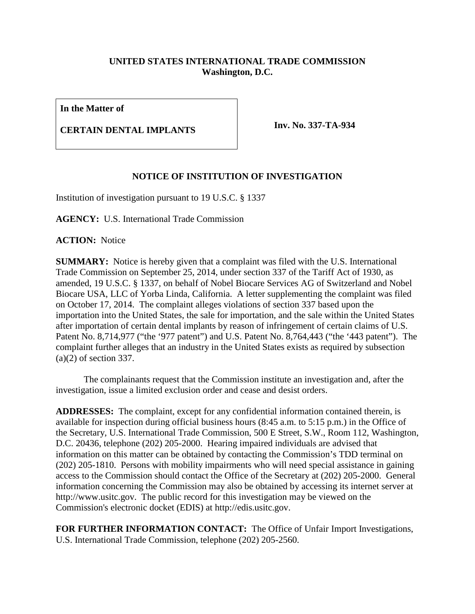## **UNITED STATES INTERNATIONAL TRADE COMMISSION Washington, D.C.**

**In the Matter of**

## **CERTAIN DENTAL IMPLANTS Inv. No. 337-TA-934**

## **NOTICE OF INSTITUTION OF INVESTIGATION**

Institution of investigation pursuant to 19 U.S.C. § 1337

**AGENCY:** U.S. International Trade Commission

**ACTION:** Notice

**SUMMARY:** Notice is hereby given that a complaint was filed with the U.S. International Trade Commission on September 25, 2014, under section 337 of the Tariff Act of 1930, as amended, 19 U.S.C. § 1337, on behalf of Nobel Biocare Services AG of Switzerland and Nobel Biocare USA, LLC of Yorba Linda, California. A letter supplementing the complaint was filed on October 17, 2014. The complaint alleges violations of section 337 based upon the importation into the United States, the sale for importation, and the sale within the United States after importation of certain dental implants by reason of infringement of certain claims of U.S. Patent No. 8,714,977 ("the '977 patent") and U.S. Patent No. 8,764,443 ("the '443 patent"). The complaint further alleges that an industry in the United States exists as required by subsection (a)(2) of section 337.

The complainants request that the Commission institute an investigation and, after the investigation, issue a limited exclusion order and cease and desist orders.

**ADDRESSES:** The complaint, except for any confidential information contained therein, is available for inspection during official business hours (8:45 a.m. to 5:15 p.m.) in the Office of the Secretary, U.S. International Trade Commission, 500 E Street, S.W., Room 112, Washington, D.C. 20436, telephone (202) 205-2000. Hearing impaired individuals are advised that information on this matter can be obtained by contacting the Commission's TDD terminal on (202) 205-1810. Persons with mobility impairments who will need special assistance in gaining access to the Commission should contact the Office of the Secretary at (202) 205-2000. General information concerning the Commission may also be obtained by accessing its internet server at http://www.usitc.gov. The public record for this investigation may be viewed on the Commission's electronic docket (EDIS) at http://edis.usitc.gov.

**FOR FURTHER INFORMATION CONTACT:** The Office of Unfair Import Investigations, U.S. International Trade Commission, telephone (202) 205-2560.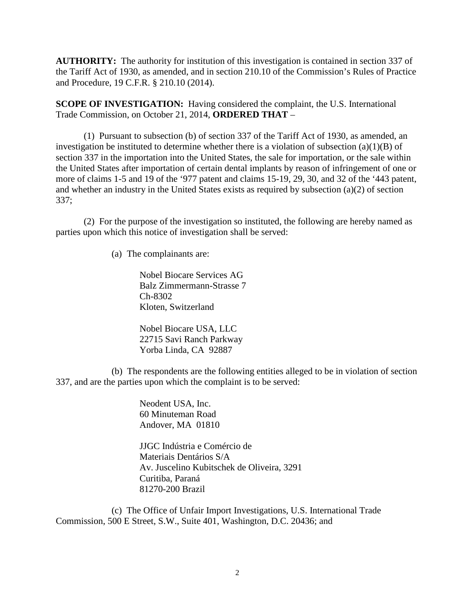**AUTHORITY:** The authority for institution of this investigation is contained in section 337 of the Tariff Act of 1930, as amended, and in section 210.10 of the Commission's Rules of Practice and Procedure, 19 C.F.R. § 210.10 (2014).

**SCOPE OF INVESTIGATION:** Having considered the complaint, the U.S. International Trade Commission, on October 21, 2014, **ORDERED THAT** –

(1) Pursuant to subsection (b) of section 337 of the Tariff Act of 1930, as amended, an investigation be instituted to determine whether there is a violation of subsection  $(a)(1)(B)$  of section 337 in the importation into the United States, the sale for importation, or the sale within the United States after importation of certain dental implants by reason of infringement of one or more of claims 1-5 and 19 of the '977 patent and claims 15-19, 29, 30, and 32 of the '443 patent, and whether an industry in the United States exists as required by subsection (a)(2) of section 337;

(2) For the purpose of the investigation so instituted, the following are hereby named as parties upon which this notice of investigation shall be served:

(a) The complainants are:

Nobel Biocare Services AG Balz Zimmermann-Strasse 7 Ch-8302 Kloten, Switzerland

Nobel Biocare USA, LLC 22715 Savi Ranch Parkway Yorba Linda, CA 92887

(b) The respondents are the following entities alleged to be in violation of section 337, and are the parties upon which the complaint is to be served:

> Neodent USA, Inc. 60 Minuteman Road Andover, MA 01810

JJGC Indústria e Comércio de Materiais Dentários S/A Av. Juscelino Kubitschek de Oliveira, 3291 Curitiba, Paraná 81270-200 Brazil

(c) The Office of Unfair Import Investigations, U.S. International Trade Commission, 500 E Street, S.W., Suite 401, Washington, D.C. 20436; and